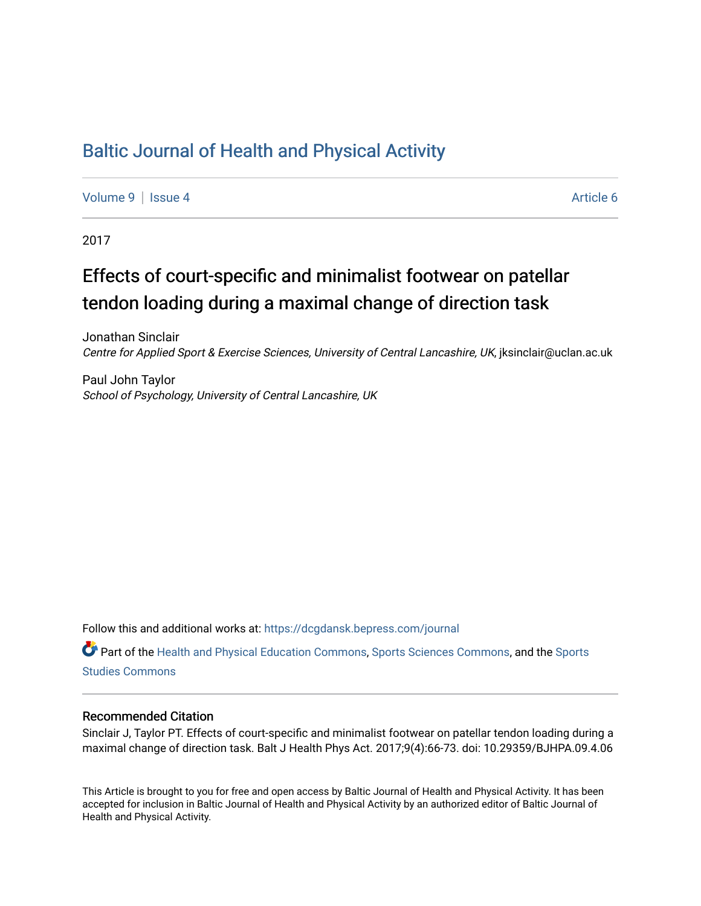# [Baltic Journal of Health and Physical Activity](https://dcgdansk.bepress.com/journal)

[Volume 9](https://dcgdansk.bepress.com/journal/vol9) | [Issue 4](https://dcgdansk.bepress.com/journal/vol9/iss4) Article 6

2017

# Effects of court-specific and minimalist footwear on patellar tendon loading during a maximal change of direction task

Jonathan Sinclair Centre for Applied Sport & Exercise Sciences, University of Central Lancashire, UK, jksinclair@uclan.ac.uk

Paul John Taylor School of Psychology, University of Central Lancashire, UK

Follow this and additional works at: [https://dcgdansk.bepress.com/journal](https://dcgdansk.bepress.com/journal?utm_source=dcgdansk.bepress.com%2Fjournal%2Fvol9%2Fiss4%2F6&utm_medium=PDF&utm_campaign=PDFCoverPages)

Part of the [Health and Physical Education Commons](http://network.bepress.com/hgg/discipline/1327?utm_source=dcgdansk.bepress.com%2Fjournal%2Fvol9%2Fiss4%2F6&utm_medium=PDF&utm_campaign=PDFCoverPages), [Sports Sciences Commons](http://network.bepress.com/hgg/discipline/759?utm_source=dcgdansk.bepress.com%2Fjournal%2Fvol9%2Fiss4%2F6&utm_medium=PDF&utm_campaign=PDFCoverPages), and the [Sports](http://network.bepress.com/hgg/discipline/1198?utm_source=dcgdansk.bepress.com%2Fjournal%2Fvol9%2Fiss4%2F6&utm_medium=PDF&utm_campaign=PDFCoverPages)  [Studies Commons](http://network.bepress.com/hgg/discipline/1198?utm_source=dcgdansk.bepress.com%2Fjournal%2Fvol9%2Fiss4%2F6&utm_medium=PDF&utm_campaign=PDFCoverPages) 

#### Recommended Citation

Sinclair J, Taylor PT. Effects of court-specific and minimalist footwear on patellar tendon loading during a maximal change of direction task. Balt J Health Phys Act. 2017;9(4):66-73. doi: 10.29359/BJHPA.09.4.06

This Article is brought to you for free and open access by Baltic Journal of Health and Physical Activity. It has been accepted for inclusion in Baltic Journal of Health and Physical Activity by an authorized editor of Baltic Journal of Health and Physical Activity.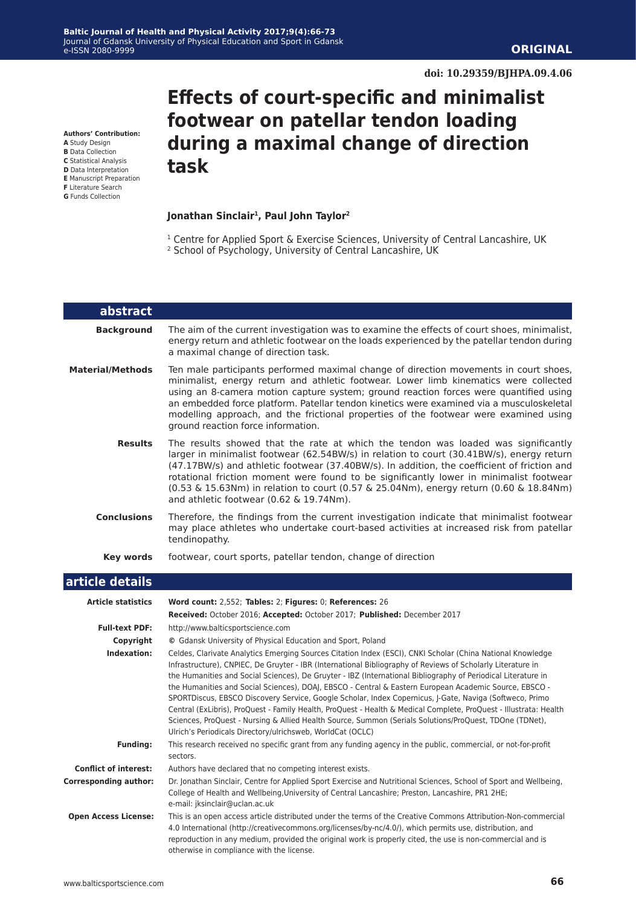**Authors' Contribution:**

- **A** Study Design **B** Data Collection
- **C** Statistical Analysis
- **D** Data Interpretation
- **E** Manuscript Preparation
- **F** Literature Search **G** Funds Collection

# **during a maximal change of direction task**

#### **Jonathan Sinclair1, Paul John Taylor2**

<sup>1</sup> Centre for Applied Sport & Exercise Sciences, University of Central Lancashire, UK

**Effects of court-specific and minimalist**

**footwear on patellar tendon loading** 

2 School of Psychology, University of Central Lancashire, UK

| abstract                |                                                                                                                                                                                                                                                                                                                                                                                                                                                                                                              |
|-------------------------|--------------------------------------------------------------------------------------------------------------------------------------------------------------------------------------------------------------------------------------------------------------------------------------------------------------------------------------------------------------------------------------------------------------------------------------------------------------------------------------------------------------|
| <b>Background</b>       | The aim of the current investigation was to examine the effects of court shoes, minimalist,<br>energy return and athletic footwear on the loads experienced by the patellar tendon during<br>a maximal change of direction task.                                                                                                                                                                                                                                                                             |
| <b>Material/Methods</b> | Ten male participants performed maximal change of direction movements in court shoes,<br>minimalist, energy return and athletic footwear. Lower limb kinematics were collected<br>using an 8-camera motion capture system; ground reaction forces were quantified using<br>an embedded force platform. Patellar tendon kinetics were examined via a musculoskeletal<br>modelling approach, and the frictional properties of the footwear were examined using<br>ground reaction force information.           |
| <b>Results</b>          | The results showed that the rate at which the tendon was loaded was significantly<br>larger in minimalist footwear (62.54BW/s) in relation to court (30.41BW/s), energy return<br>(47.17BW/s) and athletic footwear (37.40BW/s). In addition, the coefficient of friction and<br>rotational friction moment were found to be significantly lower in minimalist footwear<br>(0.53 & 15.63Nm) in relation to court (0.57 & 25.04Nm), energy return (0.60 & 18.84Nm)<br>and athletic footwear (0.62 & 19.74Nm). |
| <b>Conclusions</b>      | Therefore, the findings from the current investigation indicate that minimalist footwear<br>may place athletes who undertake court-based activities at increased risk from patellar<br>tendinopathy.                                                                                                                                                                                                                                                                                                         |
| Key words               | footwear, court sports, patellar tendon, change of direction                                                                                                                                                                                                                                                                                                                                                                                                                                                 |
| .                       |                                                                                                                                                                                                                                                                                                                                                                                                                                                                                                              |

#### **article details**

| <b>Article statistics</b>    | Word count: 2,552; Tables: 2; Figures: 0; References: 26                                                                                                                                                                                                                                                                                                                                                                                                                                                                                                                                                                                                                                                                                                                                                                                                      |
|------------------------------|---------------------------------------------------------------------------------------------------------------------------------------------------------------------------------------------------------------------------------------------------------------------------------------------------------------------------------------------------------------------------------------------------------------------------------------------------------------------------------------------------------------------------------------------------------------------------------------------------------------------------------------------------------------------------------------------------------------------------------------------------------------------------------------------------------------------------------------------------------------|
|                              | Received: October 2016; Accepted: October 2017; Published: December 2017                                                                                                                                                                                                                                                                                                                                                                                                                                                                                                                                                                                                                                                                                                                                                                                      |
| <b>Full-text PDF:</b>        | http://www.balticsportscience.com                                                                                                                                                                                                                                                                                                                                                                                                                                                                                                                                                                                                                                                                                                                                                                                                                             |
| Copyright                    | © Gdansk University of Physical Education and Sport, Poland                                                                                                                                                                                                                                                                                                                                                                                                                                                                                                                                                                                                                                                                                                                                                                                                   |
| Indexation:                  | Celdes, Clarivate Analytics Emerging Sources Citation Index (ESCI), CNKI Scholar (China National Knowledge<br>Infrastructure), CNPIEC, De Gruyter - IBR (International Bibliography of Reviews of Scholarly Literature in<br>the Humanities and Social Sciences), De Gruyter - IBZ (International Bibliography of Periodical Literature in<br>the Humanities and Social Sciences), DOAJ, EBSCO - Central & Eastern European Academic Source, EBSCO -<br>SPORTDiscus, EBSCO Discovery Service, Google Scholar, Index Copernicus, J-Gate, Naviga (Softweco, Primo<br>Central (ExLibris), ProQuest - Family Health, ProQuest - Health & Medical Complete, ProQuest - Illustrata: Health<br>Sciences, ProQuest - Nursing & Allied Health Source, Summon (Serials Solutions/ProQuest, TDOne (TDNet),<br>Ulrich's Periodicals Directory/ulrichsweb, WorldCat (OCLC) |
| <b>Funding:</b>              | This research received no specific grant from any funding agency in the public, commercial, or not-for-profit<br>sectors.                                                                                                                                                                                                                                                                                                                                                                                                                                                                                                                                                                                                                                                                                                                                     |
| <b>Conflict of interest:</b> | Authors have declared that no competing interest exists.                                                                                                                                                                                                                                                                                                                                                                                                                                                                                                                                                                                                                                                                                                                                                                                                      |
| <b>Corresponding author:</b> | Dr. Jonathan Sinclair, Centre for Applied Sport Exercise and Nutritional Sciences, School of Sport and Wellbeing,<br>College of Health and Wellbeing, University of Central Lancashire; Preston, Lancashire, PR1 2HE;<br>e-mail: jksinclair@uclan.ac.uk                                                                                                                                                                                                                                                                                                                                                                                                                                                                                                                                                                                                       |
| <b>Open Access License:</b>  | This is an open access article distributed under the terms of the Creative Commons Attribution-Non-commercial<br>4.0 International (http://creativecommons.org/licenses/by-nc/4.0/), which permits use, distribution, and<br>reproduction in any medium, provided the original work is properly cited, the use is non-commercial and is<br>otherwise in compliance with the license.                                                                                                                                                                                                                                                                                                                                                                                                                                                                          |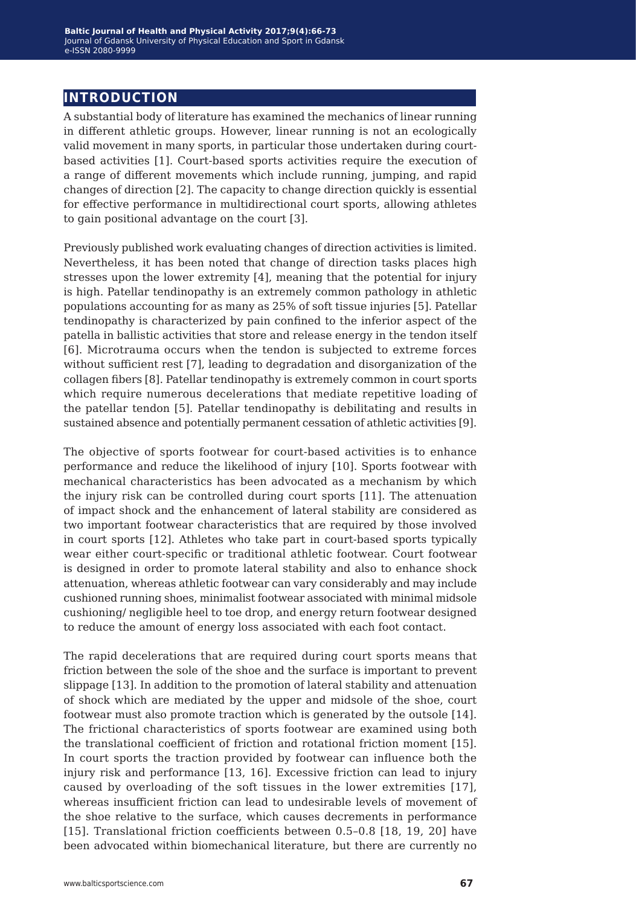# **introduction**

A substantial body of literature has examined the mechanics of linear running in different athletic groups. However, linear running is not an ecologically valid movement in many sports, in particular those undertaken during courtbased activities [1]. Court-based sports activities require the execution of a range of different movements which include running, jumping, and rapid changes of direction [2]. The capacity to change direction quickly is essential for effective performance in multidirectional court sports, allowing athletes to gain positional advantage on the court [3].

Previously published work evaluating changes of direction activities is limited. Nevertheless, it has been noted that change of direction tasks places high stresses upon the lower extremity [4], meaning that the potential for injury is high. Patellar tendinopathy is an extremely common pathology in athletic populations accounting for as many as 25% of soft tissue injuries [5]. Patellar tendinopathy is characterized by pain confined to the inferior aspect of the patella in ballistic activities that store and release energy in the tendon itself [6]. Microtrauma occurs when the tendon is subjected to extreme forces without sufficient rest [7], leading to degradation and disorganization of the collagen fibers [8]. Patellar tendinopathy is extremely common in court sports which require numerous decelerations that mediate repetitive loading of the patellar tendon [5]. Patellar tendinopathy is debilitating and results in sustained absence and potentially permanent cessation of athletic activities [9].

The objective of sports footwear for court-based activities is to enhance performance and reduce the likelihood of injury [10]. Sports footwear with mechanical characteristics has been advocated as a mechanism by which the injury risk can be controlled during court sports [11]. The attenuation of impact shock and the enhancement of lateral stability are considered as two important footwear characteristics that are required by those involved in court sports [12]. Athletes who take part in court-based sports typically wear either court-specific or traditional athletic footwear. Court footwear is designed in order to promote lateral stability and also to enhance shock attenuation, whereas athletic footwear can vary considerably and may include cushioned running shoes, minimalist footwear associated with minimal midsole cushioning/ negligible heel to toe drop, and energy return footwear designed to reduce the amount of energy loss associated with each foot contact.

The rapid decelerations that are required during court sports means that friction between the sole of the shoe and the surface is important to prevent slippage [13]. In addition to the promotion of lateral stability and attenuation of shock which are mediated by the upper and midsole of the shoe, court footwear must also promote traction which is generated by the outsole [14]. The frictional characteristics of sports footwear are examined using both the translational coefficient of friction and rotational friction moment [15]. In court sports the traction provided by footwear can influence both the injury risk and performance [13, 16]. Excessive friction can lead to injury caused by overloading of the soft tissues in the lower extremities [17], whereas insufficient friction can lead to undesirable levels of movement of the shoe relative to the surface, which causes decrements in performance [15]. Translational friction coefficients between 0.5–0.8 [18, 19, 20] have been advocated within biomechanical literature, but there are currently no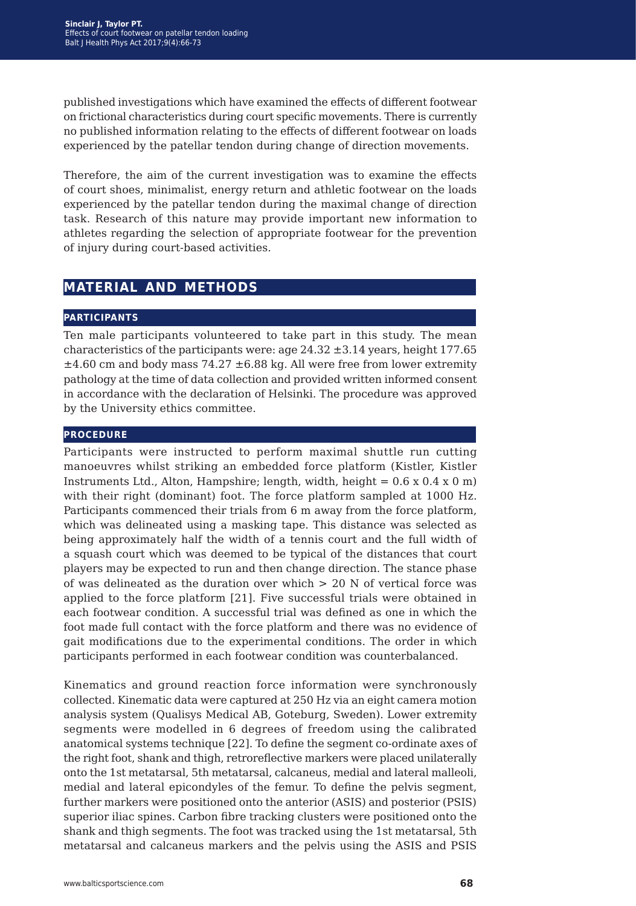published investigations which have examined the effects of different footwear on frictional characteristics during court specific movements. There is currently no published information relating to the effects of different footwear on loads experienced by the patellar tendon during change of direction movements.

Therefore, the aim of the current investigation was to examine the effects of court shoes, minimalist, energy return and athletic footwear on the loads experienced by the patellar tendon during the maximal change of direction task. Research of this nature may provide important new information to athletes regarding the selection of appropriate footwear for the prevention of injury during court-based activities.

# **material and methods**

#### **participants**

Ten male participants volunteered to take part in this study. The mean characteristics of the participants were: age  $24.32 \pm 3.14$  years, height 177.65  $\pm 4.60$  cm and body mass 74.27  $\pm 6.88$  kg. All were free from lower extremity pathology at the time of data collection and provided written informed consent in accordance with the declaration of Helsinki. The procedure was approved by the University ethics committee.

#### **procedure**

Participants were instructed to perform maximal shuttle run cutting manoeuvres whilst striking an embedded force platform (Kistler, Kistler Instruments Ltd., Alton, Hampshire; length, width, height =  $0.6 \times 0.4 \times 0$  m) with their right (dominant) foot. The force platform sampled at 1000 Hz. Participants commenced their trials from 6 m away from the force platform, which was delineated using a masking tape. This distance was selected as being approximately half the width of a tennis court and the full width of a squash court which was deemed to be typical of the distances that court players may be expected to run and then change direction. The stance phase of was delineated as the duration over which > 20 N of vertical force was applied to the force platform [21]. Five successful trials were obtained in each footwear condition. A successful trial was defined as one in which the foot made full contact with the force platform and there was no evidence of gait modifications due to the experimental conditions. The order in which participants performed in each footwear condition was counterbalanced.

Kinematics and ground reaction force information were synchronously collected. Kinematic data were captured at 250 Hz via an eight camera motion analysis system (Qualisys Medical AB, Goteburg, Sweden). Lower extremity segments were modelled in 6 degrees of freedom using the calibrated anatomical systems technique [22]. To define the segment co-ordinate axes of the right foot, shank and thigh, retroreflective markers were placed unilaterally onto the 1st metatarsal, 5th metatarsal, calcaneus, medial and lateral malleoli, medial and lateral epicondyles of the femur. To define the pelvis segment, further markers were positioned onto the anterior (ASIS) and posterior (PSIS) superior iliac spines. Carbon fibre tracking clusters were positioned onto the shank and thigh segments. The foot was tracked using the 1st metatarsal, 5th metatarsal and calcaneus markers and the pelvis using the ASIS and PSIS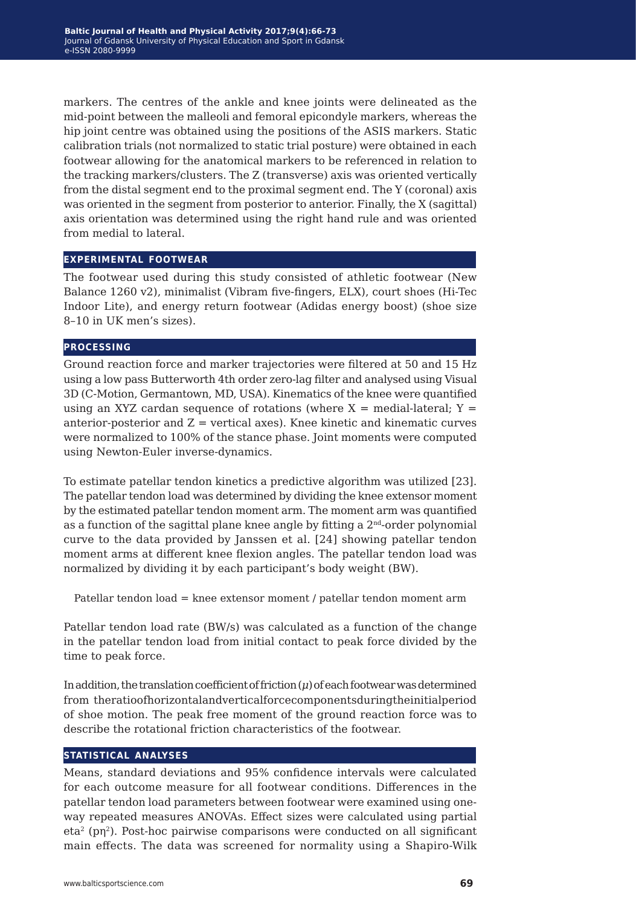markers. The centres of the ankle and knee joints were delineated as the mid-point between the malleoli and femoral epicondyle markers, whereas the hip joint centre was obtained using the positions of the ASIS markers. Static calibration trials (not normalized to static trial posture) were obtained in each footwear allowing for the anatomical markers to be referenced in relation to the tracking markers/clusters. The Z (transverse) axis was oriented vertically from the distal segment end to the proximal segment end. The Y (coronal) axis was oriented in the segment from posterior to anterior. Finally, the X (sagittal) axis orientation was determined using the right hand rule and was oriented from medial to lateral.

#### **experimental footwear**

The footwear used during this study consisted of athletic footwear (New Balance 1260 v2), minimalist (Vibram five-fingers, ELX), court shoes (Hi-Tec Indoor Lite), and energy return footwear (Adidas energy boost) (shoe size 8–10 in UK men's sizes).

#### **processing**

Ground reaction force and marker trajectories were filtered at 50 and 15 Hz using a low pass Butterworth 4th order zero-lag filter and analysed using Visual 3D (C-Motion, Germantown, MD, USA). Kinematics of the knee were quantified using an XYZ cardan sequence of rotations (where  $X =$  medial-lateral;  $Y =$ anterior-posterior and  $Z =$  vertical axes). Knee kinetic and kinematic curves were normalized to 100% of the stance phase. Joint moments were computed using Newton-Euler inverse-dynamics.

To estimate patellar tendon kinetics a predictive algorithm was utilized [23]. The patellar tendon load was determined by dividing the knee extensor moment by the estimated patellar tendon moment arm. The moment arm was quantified as a function of the sagittal plane knee angle by fitting a  $2<sup>nd</sup>$ -order polynomial curve to the data provided by Janssen et al. [24] showing patellar tendon moment arms at different knee flexion angles. The patellar tendon load was normalized by dividing it by each participant's body weight (BW).

Patellar tendon load = knee extensor moment / patellar tendon moment arm

Patellar tendon load rate (BW/s) was calculated as a function of the change in the patellar tendon load from initial contact to peak force divided by the time to peak force.

In addition, the translation coefficient of friction (*μ*) of each footwear was determined from theratioofhorizontalandverticalforcecomponentsduringtheinitialperiod of shoe motion. The peak free moment of the ground reaction force was to describe the rotational friction characteristics of the footwear.

#### **statistical analyses**

Means, standard deviations and 95% confidence intervals were calculated for each outcome measure for all footwear conditions. Differences in the patellar tendon load parameters between footwear were examined using oneway repeated measures ANOVAs. Effect sizes were calculated using partial eta<sup>2</sup> (pη<sup>2</sup>). Post-hoc pairwise comparisons were conducted on all significant main effects. The data was screened for normality using a Shapiro-Wilk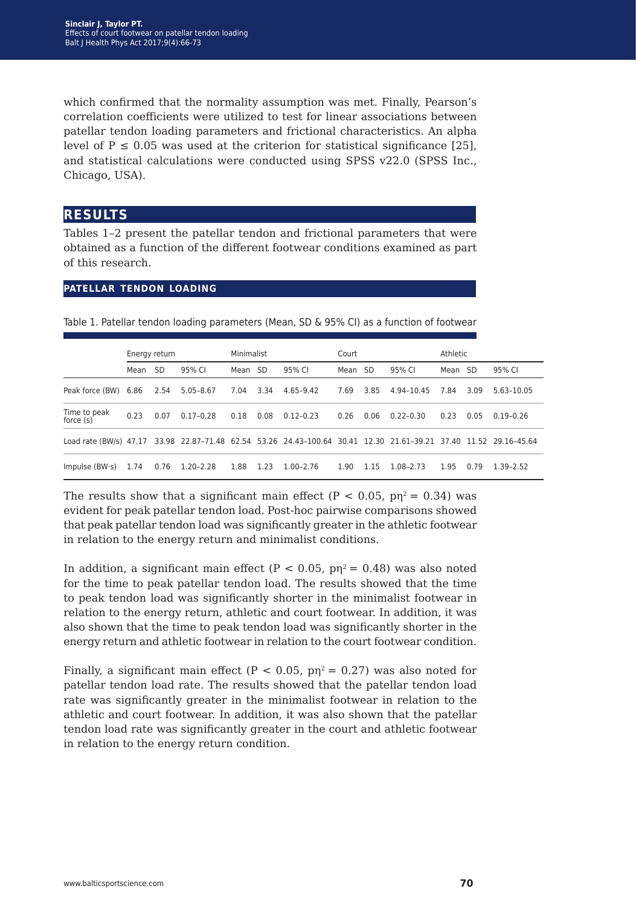which confirmed that the normality assumption was met. Finally, Pearson's correlation coefficients were utilized to test for linear associations between patellar tendon loading parameters and frictional characteristics. An alpha level of  $P \le 0.05$  was used at the criterion for statistical significance [25], and statistical calculations were conducted using SPSS v22.0 (SPSS Inc., Chicago, USA).

## **results**

Tables 1–2 present the patellar tendon and frictional parameters that were obtained as a function of the different footwear conditions examined as part of this research.

Table 1. Patellar tendon loading parameters (Mean, SD & 95% CI) as a function of footwear

#### **patellar tendon loading**

|                                                                                                                   | Energy return |      |               | Minimalist |        |               | Court |      |               | Athletic |      |               |
|-------------------------------------------------------------------------------------------------------------------|---------------|------|---------------|------------|--------|---------------|-------|------|---------------|----------|------|---------------|
|                                                                                                                   | Mean SD       |      | 95% CI        | Mean SD    |        | 95% CI        | Mean  | - SD | 95% CI        | Mean SD  |      | 95% CI        |
| Peak force (BW) 6.86                                                                                              |               | 2.54 | 5.05–8.67     | 7.04       | - 3.34 | 4.65-9.42     | 7.69  | 3.85 | 4.94-10.45    | 7.84     | 3.09 | 5.63-10.05    |
| Time to peak<br>force $(s)$                                                                                       | 0.23          | 0.07 | $0.17 - 0.28$ | 0.18       | 0.08   | $0.12 - 0.23$ | 0.26  | 0.06 | $0.22 - 0.30$ | 0.23     | 0.05 | $0.19 - 0.26$ |
| Load rate (BW/s) 47.17 33.98 22.87-71.48 62.54 53.26 24.43-100.64 30.41 12.30 21.61-39.21 37.40 11.52 29.16-45.64 |               |      |               |            |        |               |       |      |               |          |      |               |
| Impulse $(BW\cdot s)$                                                                                             | 1.74          | 0.76 | 1.20–2.28     | 1.88       | 1.23   | 1.00-2.76     | 1.90  | 1.15 | 1.08-2.73     | 1.95     | 0.79 | 1.39-2.52     |

The results show that a significant main effect (P < 0.05,  $p\eta^2 = 0.34$ ) was evident for peak patellar tendon load. Post-hoc pairwise comparisons showed that peak patellar tendon load was significantly greater in the athletic footwear in relation to the energy return and minimalist conditions.

In addition, a significant main effect ( $P < 0.05$ ,  $p\eta^2 = 0.48$ ) was also noted for the time to peak patellar tendon load. The results showed that the time to peak tendon load was significantly shorter in the minimalist footwear in relation to the energy return, athletic and court footwear. In addition, it was also shown that the time to peak tendon load was significantly shorter in the energy return and athletic footwear in relation to the court footwear condition.

Finally, a significant main effect (P < 0.05,  $p\eta^2 = 0.27$ ) was also noted for patellar tendon load rate. The results showed that the patellar tendon load rate was significantly greater in the minimalist footwear in relation to the athletic and court footwear. In addition, it was also shown that the patellar tendon load rate was significantly greater in the court and athletic footwear in relation to the energy return condition.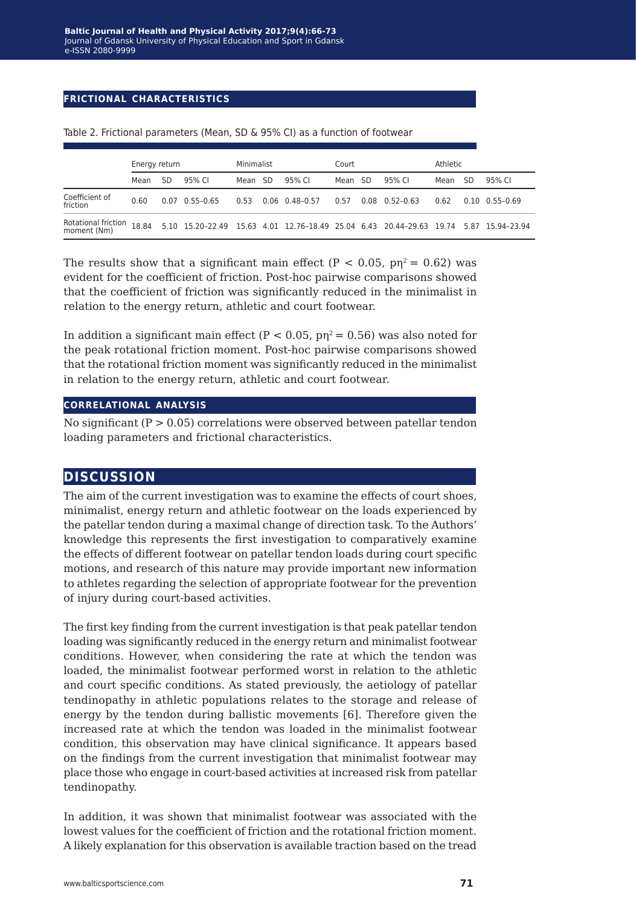### **frictional characteristics**

|                                           | Energy return |    |                                                                                       | Minimalist |  |                      | Court |      |                      | Athletic |    |                          |
|-------------------------------------------|---------------|----|---------------------------------------------------------------------------------------|------------|--|----------------------|-------|------|----------------------|----------|----|--------------------------|
|                                           | Mean          | SD | 95% CI                                                                                | Mean SD    |  | 95% CI               | Mean  | - SD | 95% CI               | Mean     | SD | 95% CI                   |
| Coefficient of<br>friction                | 0.60          |    | $0.07$ $0.55 - 0.65$                                                                  | 0.53       |  | $0.06$ $0.48 - 0.57$ | 0.57  |      | $0.08$ $0.52 - 0.63$ | 0.62     |    | $0.10 \quad 0.55 - 0.69$ |
| <b>Rotational friction</b><br>moment (Nm) | 18.84         |    | 5.10 15.20-22.49 15.63 4.01 12.76-18.49 25.04 6.43 20.44-29.63 19.74 5.87 15.94-23.94 |            |  |                      |       |      |                      |          |    |                          |

Table 2. Frictional parameters (Mean, SD & 95% CI) as a function of footwear

The results show that a significant main effect ( $P < 0.05$ ,  $p_n^2 = 0.62$ ) was evident for the coefficient of friction. Post-hoc pairwise comparisons showed that the coefficient of friction was significantly reduced in the minimalist in relation to the energy return, athletic and court footwear.

In addition a significant main effect ( $P < 0.05$ ,  $p\eta^2 = 0.56$ ) was also noted for the peak rotational friction moment. Post-hoc pairwise comparisons showed that the rotational friction moment was significantly reduced in the minimalist in relation to the energy return, athletic and court footwear.

#### **correlational analysis**

No significant ( $P > 0.05$ ) correlations were observed between patellar tendon loading parameters and frictional characteristics.

# **discussion**

The aim of the current investigation was to examine the effects of court shoes, minimalist, energy return and athletic footwear on the loads experienced by the patellar tendon during a maximal change of direction task. To the Authors' knowledge this represents the first investigation to comparatively examine the effects of different footwear on patellar tendon loads during court specific motions, and research of this nature may provide important new information to athletes regarding the selection of appropriate footwear for the prevention of injury during court-based activities.

The first key finding from the current investigation is that peak patellar tendon loading was significantly reduced in the energy return and minimalist footwear conditions. However, when considering the rate at which the tendon was loaded, the minimalist footwear performed worst in relation to the athletic and court specific conditions. As stated previously, the aetiology of patellar tendinopathy in athletic populations relates to the storage and release of energy by the tendon during ballistic movements [6]. Therefore given the increased rate at which the tendon was loaded in the minimalist footwear condition, this observation may have clinical significance. It appears based on the findings from the current investigation that minimalist footwear may place those who engage in court-based activities at increased risk from patellar tendinopathy.

In addition, it was shown that minimalist footwear was associated with the lowest values for the coefficient of friction and the rotational friction moment. A likely explanation for this observation is available traction based on the tread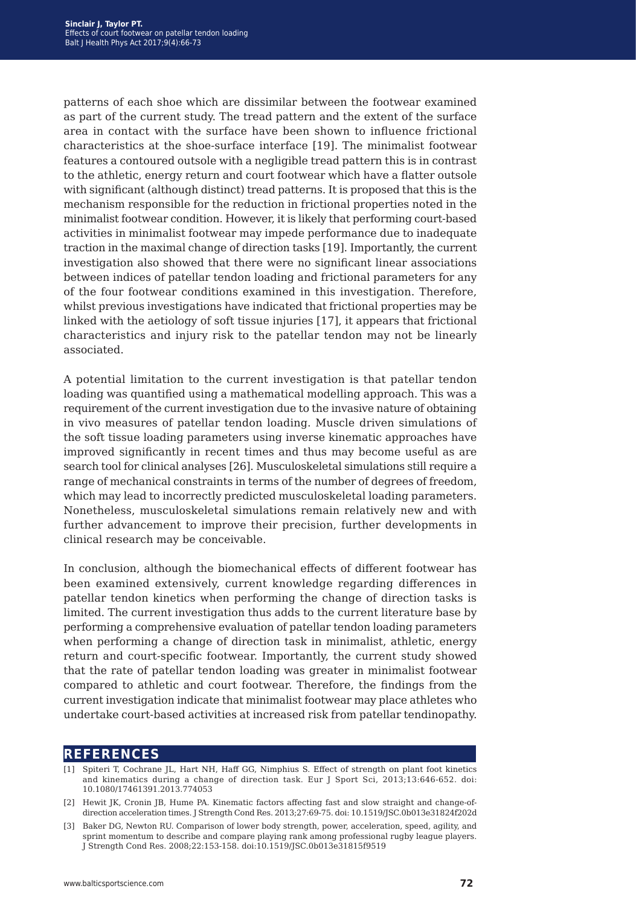patterns of each shoe which are dissimilar between the footwear examined as part of the current study. The tread pattern and the extent of the surface area in contact with the surface have been shown to influence frictional characteristics at the shoe-surface interface [19]. The minimalist footwear features a contoured outsole with a negligible tread pattern this is in contrast to the athletic, energy return and court footwear which have a flatter outsole with significant (although distinct) tread patterns. It is proposed that this is the mechanism responsible for the reduction in frictional properties noted in the minimalist footwear condition. However, it is likely that performing court-based activities in minimalist footwear may impede performance due to inadequate traction in the maximal change of direction tasks [19]. Importantly, the current investigation also showed that there were no significant linear associations between indices of patellar tendon loading and frictional parameters for any of the four footwear conditions examined in this investigation. Therefore, whilst previous investigations have indicated that frictional properties may be linked with the aetiology of soft tissue injuries [17], it appears that frictional characteristics and injury risk to the patellar tendon may not be linearly associated.

A potential limitation to the current investigation is that patellar tendon loading was quantified using a mathematical modelling approach. This was a requirement of the current investigation due to the invasive nature of obtaining in vivo measures of patellar tendon loading. Muscle driven simulations of the soft tissue loading parameters using inverse kinematic approaches have improved significantly in recent times and thus may become useful as are search tool for clinical analyses [26]. Musculoskeletal simulations still require a range of mechanical constraints in terms of the number of degrees of freedom, which may lead to incorrectly predicted musculoskeletal loading parameters. Nonetheless, musculoskeletal simulations remain relatively new and with further advancement to improve their precision, further developments in clinical research may be conceivable.

In conclusion, although the biomechanical effects of different footwear has been examined extensively, current knowledge regarding differences in patellar tendon kinetics when performing the change of direction tasks is limited. The current investigation thus adds to the current literature base by performing a comprehensive evaluation of patellar tendon loading parameters when performing a change of direction task in minimalist, athletic, energy return and court-specific footwear. Importantly, the current study showed that the rate of patellar tendon loading was greater in minimalist footwear compared to athletic and court footwear. Therefore, the findings from the current investigation indicate that minimalist footwear may place athletes who undertake court-based activities at increased risk from patellar tendinopathy.

## **references**

- [1] Spiteri T, Cochrane JL, Hart NH, Haff GG, Nimphius S. Effect of strength on plant foot kinetics and kinematics during a change of direction task. Eur J Sport Sci, 2013;13:646-652. doi: 10.1080/17461391.2013.774053
- [2] Hewit JK, Cronin JB, Hume PA. Kinematic factors affecting fast and slow straight and change-ofdirection acceleration times. J Strength Cond Res. 2013;27:69-75. doi: 10.1519/JSC.0b013e31824f202d
- [3] Baker DG, Newton RU. Comparison of lower body strength, power, acceleration, speed, agility, and sprint momentum to describe and compare playing rank among professional rugby league players. J Strength Cond Res. 2008;22:153-158. doi:10.1519/JSC.0b013e31815f9519